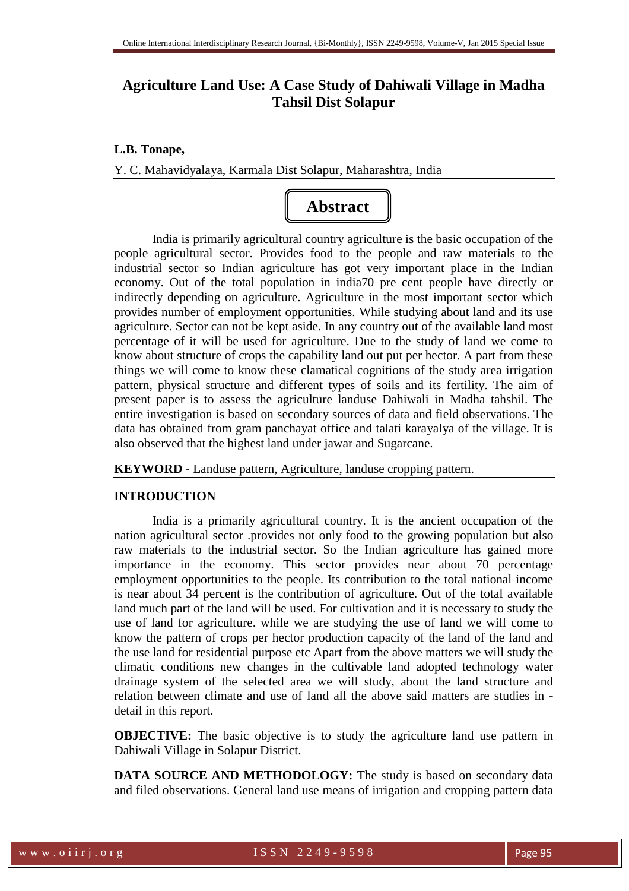# **Agriculture Land Use: A Case Study of Dahiwali Village in Madha Tahsil Dist Solapur**

#### **L.B. Tonape,**

Y. C. Mahavidyalaya, Karmala Dist Solapur, Maharashtra, India



India is primarily agricultural country agriculture is the basic occupation of the people agricultural sector. Provides food to the people and raw materials to the industrial sector so Indian agriculture has got very important place in the Indian economy. Out of the total population in india70 pre cent people have directly or indirectly depending on agriculture. Agriculture in the most important sector which provides number of employment opportunities. While studying about land and its use agriculture. Sector can not be kept aside. In any country out of the available land most percentage of it will be used for agriculture. Due to the study of land we come to know about structure of crops the capability land out put per hector. A part from these things we will come to know these clamatical cognitions of the study area irrigation pattern, physical structure and different types of soils and its fertility. The aim of present paper is to assess the agriculture landuse Dahiwali in Madha tahshil. The entire investigation is based on secondary sources of data and field observations. The data has obtained from gram panchayat office and talati karayalya of the village. It is also observed that the highest land under jawar and Sugarcane.

**KEYWORD** - Landuse pattern, Agriculture, landuse cropping pattern.

#### **INTRODUCTION**

India is a primarily agricultural country. It is the ancient occupation of the nation agricultural sector .provides not only food to the growing population but also raw materials to the industrial sector. So the Indian agriculture has gained more importance in the economy. This sector provides near about 70 percentage employment opportunities to the people. Its contribution to the total national income is near about 34 percent is the contribution of agriculture. Out of the total available land much part of the land will be used. For cultivation and it is necessary to study the use of land for agriculture. while we are studying the use of land we will come to know the pattern of crops per hector production capacity of the land of the land and the use land for residential purpose etc Apart from the above matters we will study the climatic conditions new changes in the cultivable land adopted technology water drainage system of the selected area we will study, about the land structure and relation between climate and use of land all the above said matters are studies in detail in this report.

**OBJECTIVE:** The basic objective is to study the agriculture land use pattern in Dahiwali Village in Solapur District.

**DATA SOURCE AND METHODOLOGY:** The study is based on secondary data and filed observations. General land use means of irrigation and cropping pattern data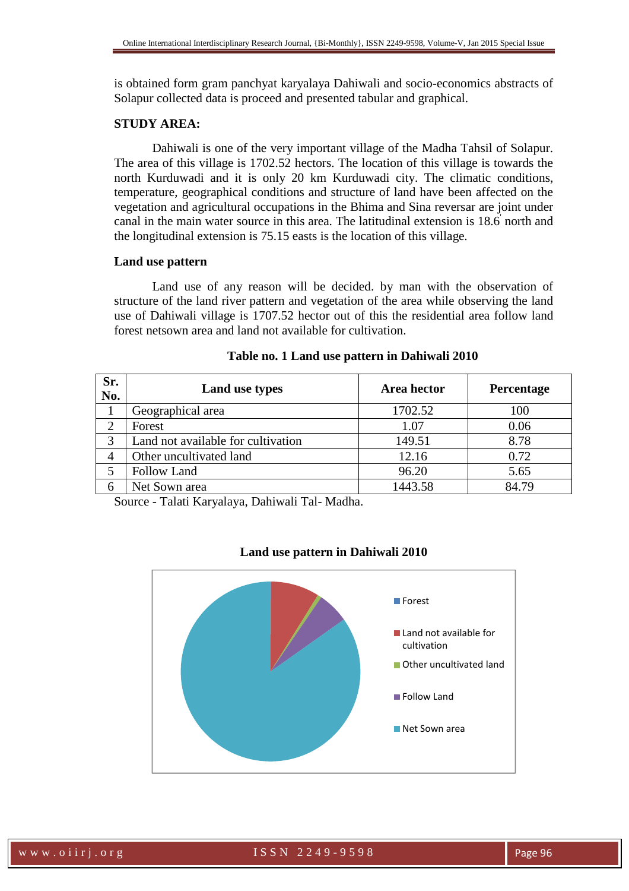is obtained form gram panchyat karyalaya Dahiwali and socio-economics abstracts of Solapur collected data is proceed and presented tabular and graphical.

#### **STUDY AREA:**

Dahiwali is one of the very important village of the Madha Tahsil of Solapur. The area of this village is 1702.52 hectors. The location of this village is towards the north Kurduwadi and it is only 20 km Kurduwadi city. The climatic conditions, temperature, geographical conditions and structure of land have been affected on the vegetation and agricultural occupations in the Bhima and Sina reversar are joint under canal in the main water source in this area. The latitudinal extension is 18.6' north and the longitudinal extension is 75.15 easts is the location of this village.

#### **Land use pattern**

Land use of any reason will be decided. by man with the observation of structure of the land river pattern and vegetation of the area while observing the land use of Dahiwali village is 1707.52 hector out of this the residential area follow land forest netsown area and land not available for cultivation.

| Sr.<br>No. | Land use types                     | Area hector | Percentage |
|------------|------------------------------------|-------------|------------|
|            | Geographical area                  | 1702.52     | 100        |
|            | Forest                             | 1.07        | 0.06       |
| 3          | Land not available for cultivation | 149.51      | 8.78       |
|            | Other uncultivated land            | 12.16       | 0.72       |
|            | <b>Follow Land</b>                 | 96.20       | 5.65       |
|            | Net Sown area                      | 1443.58     | 84.79      |

## **Table no. 1 Land use pattern in Dahiwali 2010**

Source - Talati Karyalaya, Dahiwali Tal- Madha.



### **Land use pattern in Dahiwali 2010**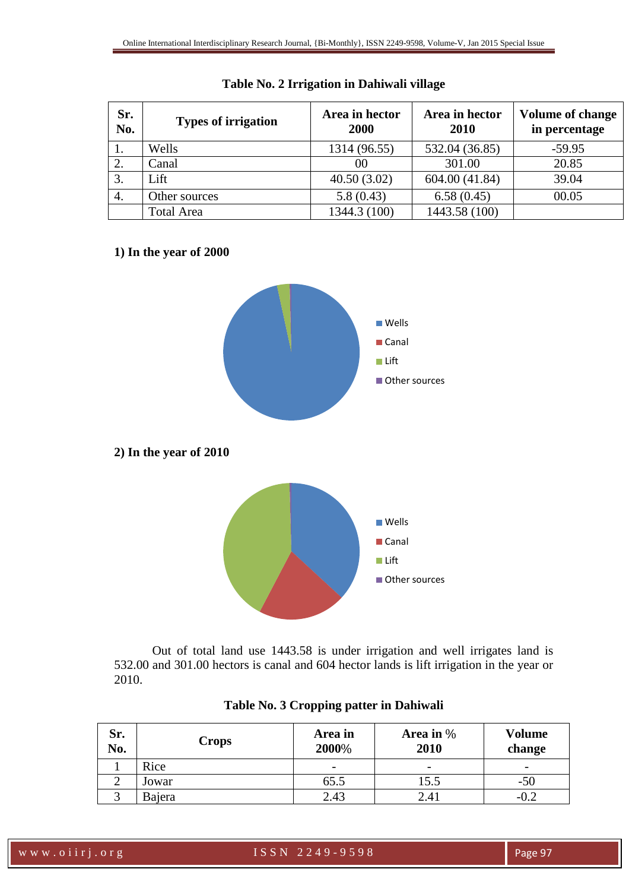| Sr.<br>No. | <b>Types of irrigation</b> | Area in hector<br>2000 | Area in hector<br>2010 | <b>Volume of change</b><br>in percentage |
|------------|----------------------------|------------------------|------------------------|------------------------------------------|
|            | Wells                      | 1314 (96.55)           | 532.04 (36.85)         | $-59.95$                                 |
| 2.         | Canal                      | 00                     | 301.00                 | 20.85                                    |
| 3.         | Lift                       | 40.50(3.02)            | 604.00 (41.84)         | 39.04                                    |
| 4.         | Other sources              | 5.8(0.43)              | 6.58(0.45)             | 00.05                                    |
|            | <b>Total Area</b>          | 1344.3 (100)           | 1443.58 (100)          |                                          |

# **Table No. 2 Irrigation in Dahiwali village**

# **1) In the year of 2000**



Out of total land use 1443.58 is under irrigation and well irrigates land is 532.00 and 301.00 hectors is canal and 604 hector lands is lift irrigation in the year or 2010.

| Sr.<br>No. | Crops  | Area in<br>2000% | Area in $\%$<br>2010 | <b>Volume</b><br>change |
|------------|--------|------------------|----------------------|-------------------------|
|            | Rice   | -                | -                    | -                       |
|            | Jowar  | 65.5             | 15.5                 | -50                     |
|            | Bajera | 2.43             | 2.41                 | $-0.2$                  |

# **Table No. 3 Cropping patter in Dahiwali**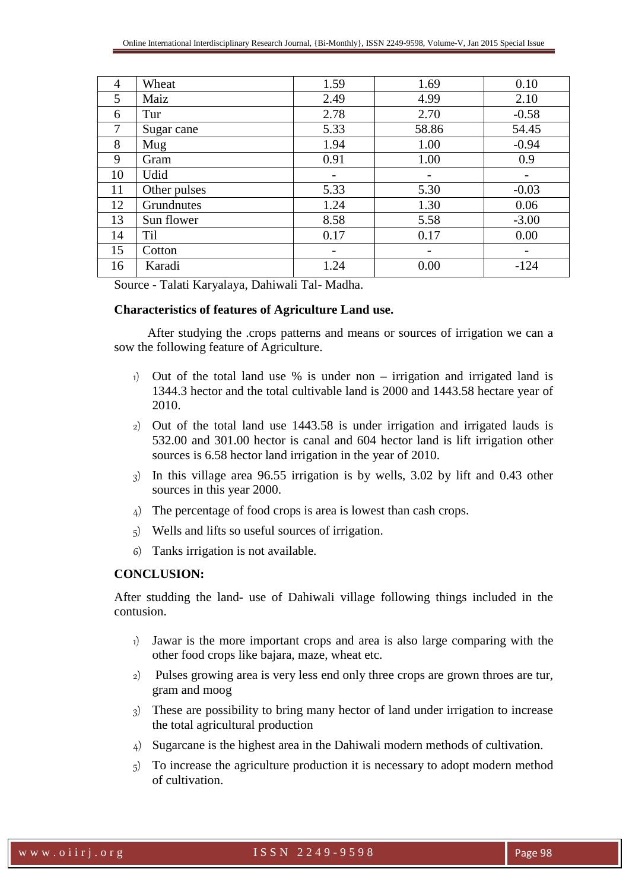| 4  | Wheat        | 1.59 | 1.69                     | 0.10    |
|----|--------------|------|--------------------------|---------|
| 5  | Maiz         | 2.49 | 4.99                     | 2.10    |
| 6  | Tur          | 2.78 | 2.70                     | $-0.58$ |
| 7  | Sugar cane   | 5.33 | 58.86                    | 54.45   |
| 8  | Mug          | 1.94 | 1.00                     | $-0.94$ |
| 9  | Gram         | 0.91 | 1.00                     | 0.9     |
| 10 | Udid         |      | $\overline{\phantom{a}}$ |         |
| 11 | Other pulses | 5.33 | 5.30                     | $-0.03$ |
| 12 | Grundnutes   | 1.24 | 1.30                     | 0.06    |
| 13 | Sun flower   | 8.58 | 5.58                     | $-3.00$ |
| 14 | <b>Til</b>   | 0.17 | 0.17                     | 0.00    |
| 15 | Cotton       |      |                          |         |
| 16 | Karadi       | 1.24 | 0.00                     | $-124$  |

Source - Talati Karyalaya, Dahiwali Tal- Madha.

#### **Characteristics of features of Agriculture Land use.**

After studying the .crops patterns and means or sources of irrigation we can a sow the following feature of Agriculture.

- 1) Out of the total land use % is under non irrigation and irrigated land is 1344.3 hector and the total cultivable land is 2000 and 1443.58 hectare year of 2010.
- 2) Out of the total land use 1443.58 is under irrigation and irrigated lauds is 532.00 and 301.00 hector is canal and 604 hector land is lift irrigation other sources is 6.58 hector land irrigation in the year of 2010.
- 3) In this village area 96.55 irrigation is by wells, 3.02 by lift and 0.43 other sources in this year 2000.
- 4) The percentage of food crops is area is lowest than cash crops.
- 5) Wells and lifts so useful sources of irrigation.
- 6) Tanks irrigation is not available.

# **CONCLUSION:**

After studding the land- use of Dahiwali village following things included in the contusion.

- 1) Jawar is the more important crops and area is also large comparing with the other food crops like bajara, maze, wheat etc.
- 2) Pulses growing area is very less end only three crops are grown throes are tur, gram and moog
- 3) These are possibility to bring many hector of land under irrigation to increase the total agricultural production
- 4) Sugarcane is the highest area in the Dahiwali modern methods of cultivation.
- 5) To increase the agriculture production it is necessary to adopt modern method of cultivation.